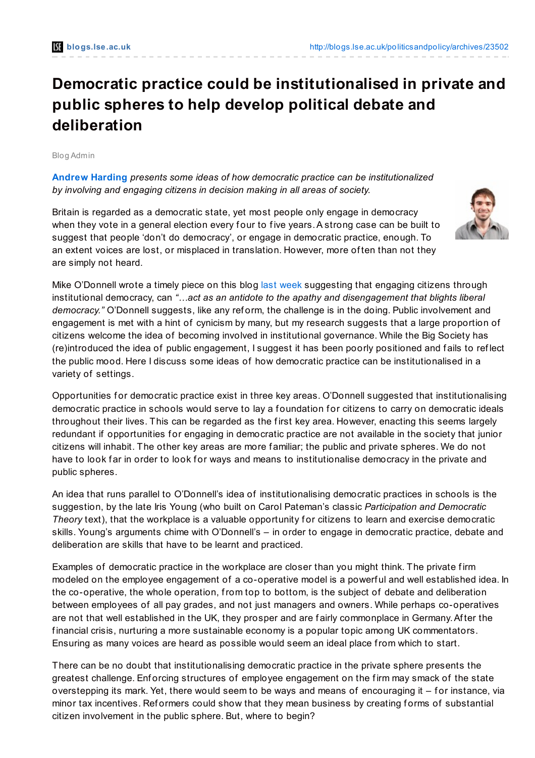## **Democratic practice could be institutionalised in private and public spheres to help develop political debate and deliberation**

Blog Admin

**[Andrew](http://blogs.lse.ac.uk/politicsandpolicy/?p=23502#Author) Harding** *presents some ideas of how democratic practice can be institutionalized by involving and engaging citizens in decision making in all areas of society.*

Britain is regarded as a democratic state, yet most people only engage in democracy when they vote in a general election every four to five years. A strong case can be built to suggest that people 'don't do democracy', or engage in democratic practice, enough. To an extent voices are lost, or misplaced in translation. However, more of ten than not they are simply not heard.



Mike O'Donnell wrote a timely piece on this blog last [week](http://blogs.lse.ac.uk/politicsandpolicy/2012/04/30/institutional-democracy-odonnell/#comment-12199) suggesting that engaging citizens through institutional democracy, can *"…act as an antidote to the apathy and disengagement that blights liberal democracy."* O'Donnell suggests, like any ref orm, the challenge is in the doing. Public involvement and engagement is met with a hint of cynicism by many, but my research suggests that a large proportion of citizens welcome the idea of becoming involved in institutional governance. While the Big Society has (re)introduced the idea of public engagement, I suggest it has been poorly positioned and f ails to ref lect the public mood. Here I discuss some ideas of how democratic practice can be institutionalised in a variety of settings.

Opportunities for democratic practice exist in three key areas. O'Donnell suggested that institutionalising democratic practice in schools would serve to lay a foundation for citizens to carry on democratic ideals throughout their lives. This can be regarded as the f irst key area. However, enacting this seems largely redundant if opportunities for engaging in democratic practice are not available in the society that junior citizens will inhabit. The other key areas are more f amiliar; the public and private spheres. We do not have to look far in order to look for ways and means to institutionalise democracy in the private and public spheres.

An idea that runs parallel to O'Donnell's idea of institutionalising democratic practices in schools is the suggestion, by the late Iris Young (who built on Carol Pateman's classic *Participation and Democratic Theory* text), that the workplace is a valuable opportunity for citizens to learn and exercise democratic skills. Young's arguments chime with O'Donnell's – in order to engage in democratic practice, debate and deliberation are skills that have to be learnt and practiced.

Examples of democratic practice in the workplace are closer than you might think. The private firm modeled on the employee engagement of a co-operative model is a powerful and well established idea. In the co-operative, the whole operation, from top to bottom, is the subject of debate and deliberation between employees of all pay grades, and not just managers and owners. While perhaps co-operatives are not that well established in the UK, they prosper and are f airly commonplace in Germany.Af ter the f inancial crisis, nurturing a more sustainable economy is a popular topic among UK commentators. Ensuring as many voices are heard as possible would seem an ideal place from which to start.

There can be no doubt that institutionalising democratic practice in the private sphere presents the greatest challenge. Enforcing structures of employee engagement on the firm may smack of the state overstepping its mark. Yet, there would seem to be ways and means of encouraging it – for instance, via minor tax incentives. Reformers could show that they mean business by creating forms of substantial citizen involvement in the public sphere. But, where to begin?